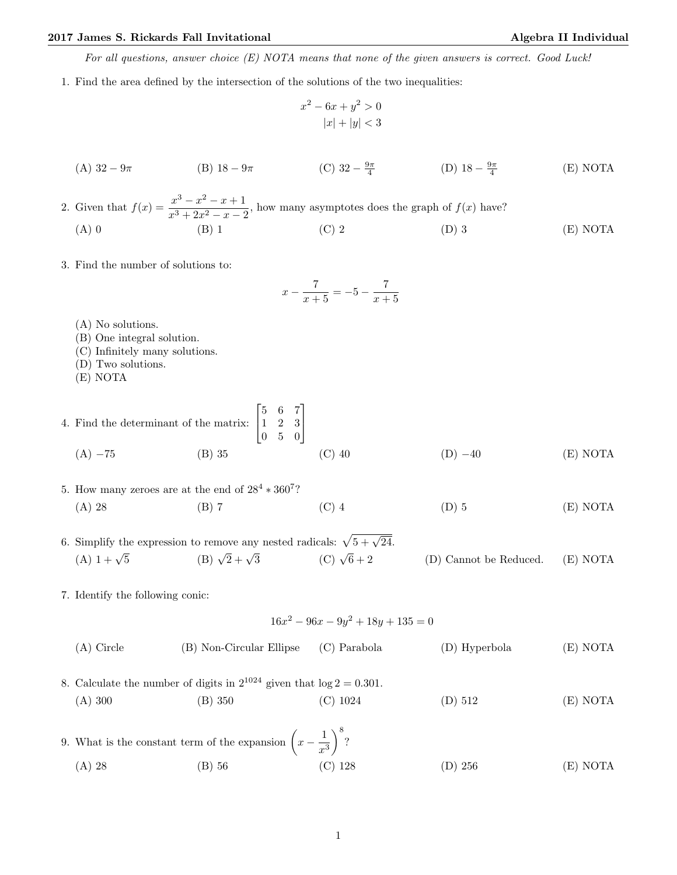## 2017 James S. Rickards Fall Invitational Algebra II Individual Algebra II Individual

For all questions, answer choice (E) NOTA means that none of the given answers is correct. Good Luck!

1. Find the area defined by the intersection of the solutions of the two inequalities:

$$
x^{2} - 6x + y^{2} > 0
$$
  

$$
|x| + |y| < 3
$$

(A) 
$$
32 - 9\pi
$$
 \t\t (B)  $18 - 9\pi$  \t\t (C)  $32 - \frac{9\pi}{4}$  \t\t (D)  $18 - \frac{9\pi}{4}$  \t\t (E) NOTA

2. Given that  $f(x) = \frac{x^3 - x^2 - x + 1}{x^3 - x^2}$  $\frac{x}{x^3 + 2x^2 - x - 2}$ , how many asymptotes does the graph of  $f(x)$  have? (A) 0 (B) 1 (C) 2 (D) 3 (E) NOTA

3. Find the number of solutions to:

$$
x - \frac{7}{x+5} = -5 - \frac{7}{x+5}
$$

- (A) No solutions.
- (B) One integral solution.
- (C) Infinitely many solutions.
- (D) Two solutions.
- (E) NOTA
- 4. Find the determinant of the matrix:  $\lceil$  $\overline{\phantom{a}}$ 5 6 7 1 2 3 0 5 0 1  $\overline{1}$ (A)  $-75$  (B) 35 (C) 40 (D)  $-40$  (E) NOTA
- 5. How many zeroes are at the end of  $28^4 * 360^7$ ? (A) 28 (B) 7 (C) 4 (D) 5 (E) NOTA
- 6. Simplify the expression to remove any nested radicals:  $\sqrt{5 + \sqrt{24}}$ . (A)  $1 + \sqrt{5}$  $\frac{1}{5}$  (B)  $\sqrt{2} + \sqrt{2}$ (C)  $\sqrt{6} + 2$  $(D)$  Cannot be Reduced.  $(E)$  NOTA
- 7. Identify the following conic:

$$
16x^2 - 96x - 9y^2 + 18y + 135 = 0
$$

- (A) Circle (B) Non-Circular Ellipse (C) Parabola (D) Hyperbola (E) NOTA 8. Calculate the number of digits in  $2^{1024}$  given that  $log 2 = 0.301$ . (A) 300 (B) 350 (C) 1024 (D) 512 (E) NOTA
- 9. What is the constant term of the expansion  $\left(x-\frac{1}{x}\right)$  $x^3$  $\big)^8$ ? (A) 28 (B) 56 (C) 128 (D) 256 (E) NOTA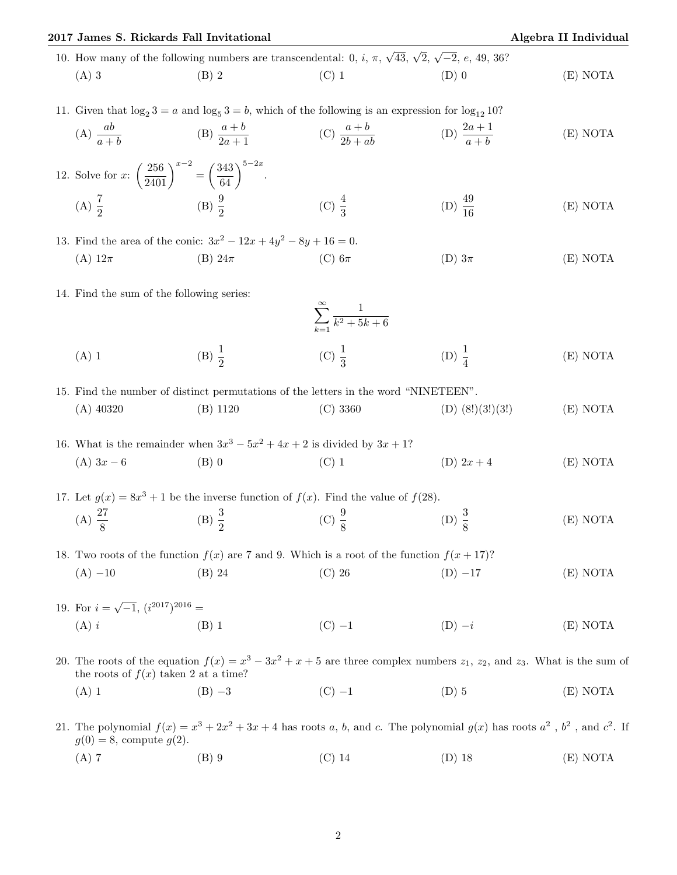| 2017 James S. Rickards Fall Invitational                                                                                                    |                                                                                               | Algebra II Individual                                                                         |                                                                                                                                       |          |  |  |
|---------------------------------------------------------------------------------------------------------------------------------------------|-----------------------------------------------------------------------------------------------|-----------------------------------------------------------------------------------------------|---------------------------------------------------------------------------------------------------------------------------------------|----------|--|--|
| 10. How many of the following numbers are transcendental: 0, <i>i</i> , $\pi$ , $\sqrt{43}$ , $\sqrt{2}$ , $\sqrt{-2}$ , <i>e</i> , 49, 36? |                                                                                               |                                                                                               |                                                                                                                                       |          |  |  |
| $(A)$ 3                                                                                                                                     | $(B)$ 2                                                                                       | $(C)$ 1                                                                                       | $(D)$ 0                                                                                                                               | (E) NOTA |  |  |
| 11. Given that $\log_2 3 = a$ and $\log_5 3 = b$ , which of the following is an expression for $\log_{12} 10$ ?                             |                                                                                               |                                                                                               |                                                                                                                                       |          |  |  |
|                                                                                                                                             | (A) $\frac{ab}{a+b}$ (B) $\frac{a+b}{2a+1}$                                                   | (C) $\frac{a+b}{2b+ab}$                                                                       | (D) $\frac{2a+1}{a+b}$                                                                                                                | (E) NOTA |  |  |
|                                                                                                                                             | 12. Solve for x: $\left(\frac{256}{2401}\right)^{x-2} = \left(\frac{343}{64}\right)^{5-2x}$ . |                                                                                               |                                                                                                                                       |          |  |  |
| (A) $\frac{7}{2}$ (B) $\frac{9}{2}$                                                                                                         |                                                                                               | (C) $\frac{4}{3}$                                                                             | (D) $\frac{49}{16}$                                                                                                                   | (E) NOTA |  |  |
|                                                                                                                                             | 13. Find the area of the conic: $3x^2 - 12x + 4y^2 - 8y + 16 = 0$ .                           |                                                                                               |                                                                                                                                       |          |  |  |
| (A) $12\pi$                                                                                                                                 | $(B) 24\pi$                                                                                   | $(C)$ 6 $\pi$                                                                                 | (D) $3\pi$                                                                                                                            | (E) NOTA |  |  |
|                                                                                                                                             | 14. Find the sum of the following series:                                                     | $\sum_{k=1}^{\infty} \frac{1}{k^2 + 5k + 6}$                                                  |                                                                                                                                       |          |  |  |
|                                                                                                                                             |                                                                                               |                                                                                               |                                                                                                                                       |          |  |  |
| $(A)$ 1                                                                                                                                     | (B) $\frac{1}{2}$                                                                             | (C) $\frac{1}{3}$                                                                             | (D) $\frac{1}{4}$                                                                                                                     | (E) NOTA |  |  |
|                                                                                                                                             |                                                                                               | 15. Find the number of distinct permutations of the letters in the word "NINETEEN".           |                                                                                                                                       |          |  |  |
| $(A)$ 40320                                                                                                                                 | $(B)$ 1120                                                                                    | (C) 3360                                                                                      | $(D)$ $(8!)$ $(3!)$ $(3!)$                                                                                                            | (E) NOTA |  |  |
|                                                                                                                                             |                                                                                               | 16. What is the remainder when $3x^3 - 5x^2 + 4x + 2$ is divided by $3x + 1$ ?                |                                                                                                                                       |          |  |  |
| $(A)$ 3x - 6                                                                                                                                | $(B)$ 0                                                                                       | $(C)$ 1                                                                                       | (D) $2x + 4$                                                                                                                          | (E) NOTA |  |  |
| 17. Let $g(x) = 8x^3 + 1$ be the inverse function of $f(x)$ . Find the value of $f(28)$ .                                                   |                                                                                               |                                                                                               |                                                                                                                                       |          |  |  |
| (A) $\frac{27}{8}$                                                                                                                          |                                                                                               | (B) $\frac{3}{2}$ (C) $\frac{9}{8}$                                                           | (D) $\frac{3}{8}$                                                                                                                     | (E) NOTA |  |  |
|                                                                                                                                             |                                                                                               | 18. Two roots of the function $f(x)$ are 7 and 9. Which is a root of the function $f(x+17)$ ? |                                                                                                                                       |          |  |  |
| $(A) -10$                                                                                                                                   | $(B)$ 24                                                                                      | $(C)$ 26                                                                                      | $(D) -17$                                                                                                                             | (E) NOTA |  |  |
| 19. For $i = \sqrt{-1}$ , $(i^{2017})^{2016}$ =                                                                                             |                                                                                               |                                                                                               |                                                                                                                                       |          |  |  |
| $(A)$ i                                                                                                                                     | $(B)$ 1                                                                                       | $(C)$ -1                                                                                      | $(D) -i$                                                                                                                              | (E) NOTA |  |  |
|                                                                                                                                             | the roots of $f(x)$ taken 2 at a time?                                                        |                                                                                               | 20. The roots of the equation $f(x) = x^3 - 3x^2 + x + 5$ are three complex numbers $z_1$ , $z_2$ , and $z_3$ . What is the sum of    |          |  |  |
| $(A)$ 1                                                                                                                                     | $(B) -3$                                                                                      | $(C) -1$                                                                                      | $(D)$ 5                                                                                                                               | (E) NOTA |  |  |
| $g(0) = 8$ , compute $g(2)$ .                                                                                                               |                                                                                               |                                                                                               | 21. The polynomial $f(x) = x^3 + 2x^2 + 3x + 4$ has roots a, b, and c. The polynomial $g(x)$ has roots $a^2$ , $b^2$ , and $c^2$ . If |          |  |  |

(A) 7 (B) 9 (C) 14 (D) 18 (E) NOTA

. If